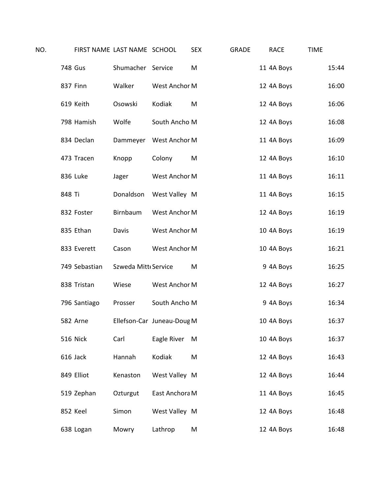| NO. |          |               | FIRST NAME LAST NAME SCHOOL |                            | <b>SEX</b> | <b>GRADE</b> | <b>RACE</b> | <b>TIME</b> |       |
|-----|----------|---------------|-----------------------------|----------------------------|------------|--------------|-------------|-------------|-------|
|     | 748 Gus  |               | Shumacher Service           |                            | M          |              | 11 4A Boys  |             | 15:44 |
|     | 837 Finn |               | Walker                      | West Anchor M              |            |              | 12 4A Boys  |             | 16:00 |
|     |          | 619 Keith     | Osowski                     | Kodiak                     | M          |              | 12 4A Boys  |             | 16:06 |
|     |          | 798 Hamish    | Wolfe                       | South Ancho M              |            |              | 12 4A Boys  |             | 16:08 |
|     |          | 834 Declan    |                             | Dammeyer West Anchor M     |            |              | 11 4A Boys  |             | 16:09 |
|     |          | 473 Tracen    | Knopp                       | Colony                     | M          |              | 12 4A Boys  |             | 16:10 |
|     |          | 836 Luke      | Jager                       | West Anchor M              |            |              | 11 4A Boys  |             | 16:11 |
|     | 848 Ti   |               | Donaldson                   | West Valley M              |            |              | 11 4A Boys  |             | 16:15 |
|     |          | 832 Foster    | Birnbaum                    | West Anchor M              |            |              | 12 4A Boys  |             | 16:19 |
|     |          | 835 Ethan     | Davis                       | West Anchor M              |            |              | 10 4A Boys  |             | 16:19 |
|     |          | 833 Everett   | Cason                       | West Anchor M              |            |              | 10 4A Boys  |             | 16:21 |
|     |          | 749 Sebastian | Szweda Mitt Service         |                            | M          |              | 9 4A Boys   |             | 16:25 |
|     |          | 838 Tristan   | Wiese                       | West Anchor M              |            |              | 12 4A Boys  |             | 16:27 |
|     |          | 796 Santiago  | Prosser                     | South Ancho M              |            |              | 9 4A Boys   |             | 16:34 |
|     |          | 582 Arne      |                             | Ellefson-Car Juneau-Doug M |            |              | 10 4A Boys  |             | 16:37 |
|     |          | 516 Nick      | Carl                        | Eagle River                | M          |              | 10 4A Boys  |             | 16:37 |
|     | 616 Jack |               | Hannah                      | Kodiak                     | M          |              | 12 4A Boys  |             | 16:43 |
|     |          | 849 Elliot    | Kenaston                    | West Valley M              |            |              | 12 4A Boys  |             | 16:44 |
|     |          | 519 Zephan    | Ozturgut                    | East Anchora M             |            |              | 11 4A Boys  |             | 16:45 |
|     | 852 Keel |               | Simon                       | West Valley M              |            |              | 12 4A Boys  |             | 16:48 |
|     |          | 638 Logan     | Mowry                       | Lathrop                    | M          |              | 12 4A Boys  |             | 16:48 |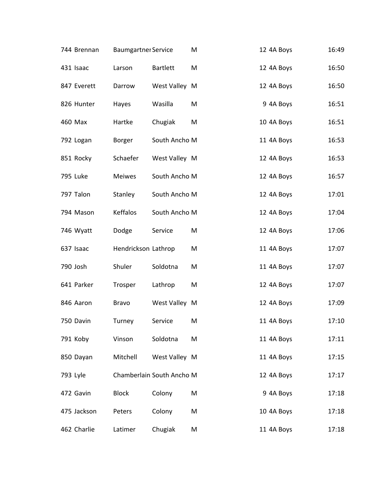| 744 Brennan     | <b>Baumgartner Service</b> |                           | M | 12 4A Boys | 16:49 |
|-----------------|----------------------------|---------------------------|---|------------|-------|
| 431 Isaac       | Larson                     | <b>Bartlett</b>           | M | 12 4A Boys | 16:50 |
| 847 Everett     | Darrow                     | West Valley M             |   | 12 4A Boys | 16:50 |
| 826 Hunter      | Hayes                      | Wasilla                   | M | 9 4A Boys  | 16:51 |
| 460 Max         | Hartke                     | Chugiak                   | M | 10 4A Boys | 16:51 |
| 792 Logan       | Borger                     | South Ancho M             |   | 11 4A Boys | 16:53 |
| 851 Rocky       | Schaefer                   | West Valley M             |   | 12 4A Boys | 16:53 |
| <b>795 Luke</b> | <b>Meiwes</b>              | South Ancho M             |   | 12 4A Boys | 16:57 |
| 797 Talon       | Stanley                    | South Ancho M             |   | 12 4A Boys | 17:01 |
| 794 Mason       | Keffalos                   | South Ancho M             |   | 12 4A Boys | 17:04 |
| 746 Wyatt       | Dodge                      | Service                   | M | 12 4A Boys | 17:06 |
| 637 Isaac       | Hendrickson Lathrop        |                           | M | 11 4A Boys | 17:07 |
| 790 Josh        | Shuler                     | Soldotna                  | M | 11 4A Boys | 17:07 |
| 641 Parker      | Trosper                    | Lathrop                   | M | 12 4A Boys | 17:07 |
| 846 Aaron       | <b>Bravo</b>               | West Valley M             |   | 12 4A Boys | 17:09 |
| 750 Davin       | Turney                     | Service                   | M | 11 4A Boys | 17:10 |
| 791 Koby        | Vinson                     | Soldotna                  | M | 11 4A Boys | 17:11 |
| 850 Dayan       | Mitchell                   | West Valley M             |   | 11 4A Boys | 17:15 |
| 793 Lyle        |                            | Chamberlain South Ancho M |   | 12 4A Boys | 17:17 |
| 472 Gavin       | <b>Block</b>               | Colony                    | M | 9 4A Boys  | 17:18 |
| 475 Jackson     | Peters                     | Colony                    | M | 10 4A Boys | 17:18 |
| 462 Charlie     | Latimer                    | Chugiak                   | M | 11 4A Boys | 17:18 |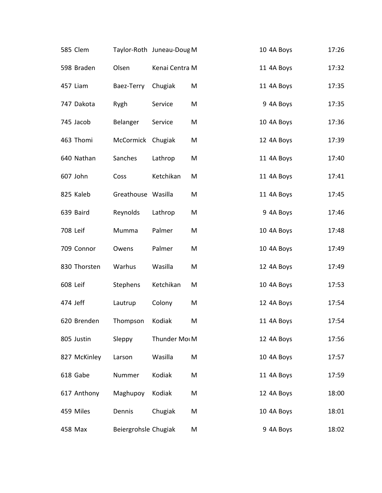| 585 Clem     |                      | Taylor-Roth Juneau-Doug M |   | 10 4A Boys | 17:26 |
|--------------|----------------------|---------------------------|---|------------|-------|
| 598 Braden   | Olsen                | Kenai Centra M            |   | 11 4A Boys | 17:32 |
| 457 Liam     | Baez-Terry           | Chugiak                   | M | 11 4A Boys | 17:35 |
| 747 Dakota   | Rygh                 | Service                   | M | 9 4A Boys  | 17:35 |
| 745 Jacob    | Belanger             | Service                   | M | 10 4A Boys | 17:36 |
| 463 Thomi    | McCormick Chugiak    |                           | M | 12 4A Boys | 17:39 |
| 640 Nathan   | Sanches              | Lathrop                   | M | 11 4A Boys | 17:40 |
| 607 John     | Coss                 | Ketchikan                 | M | 11 4A Boys | 17:41 |
| 825 Kaleb    | Greathouse Wasilla   |                           | M | 11 4A Boys | 17:45 |
| 639 Baird    | Reynolds             | Lathrop                   | M | 9 4A Boys  | 17:46 |
| 708 Leif     | Mumma                | Palmer                    | M | 10 4A Boys | 17:48 |
| 709 Connor   | Owens                | Palmer                    | M | 10 4A Boys | 17:49 |
| 830 Thorsten | Warhus               | Wasilla                   | M | 12 4A Boys | 17:49 |
| 608 Leif     | Stephens             | Ketchikan                 | M | 10 4A Boys | 17:53 |
| 474 Jeff     | Lautrup              | Colony                    | M | 12 4A Boys | 17:54 |
| 620 Brenden  | Thompson             | Kodiak                    | M | 11 4A Boys | 17:54 |
| 805 Justin   | Sleppy               | Thunder Mot M             |   | 12 4A Boys | 17:56 |
| 827 McKinley | Larson               | Wasilla                   | M | 10 4A Boys | 17:57 |
| 618 Gabe     | Nummer               | Kodiak                    | M | 11 4A Boys | 17:59 |
| 617 Anthony  | Maghupoy             | Kodiak                    | M | 12 4A Boys | 18:00 |
| 459 Miles    | Dennis               | Chugiak                   | M | 10 4A Boys | 18:01 |
| 458 Max      | Beiergrohsle Chugiak |                           | M | 9 4A Boys  | 18:02 |